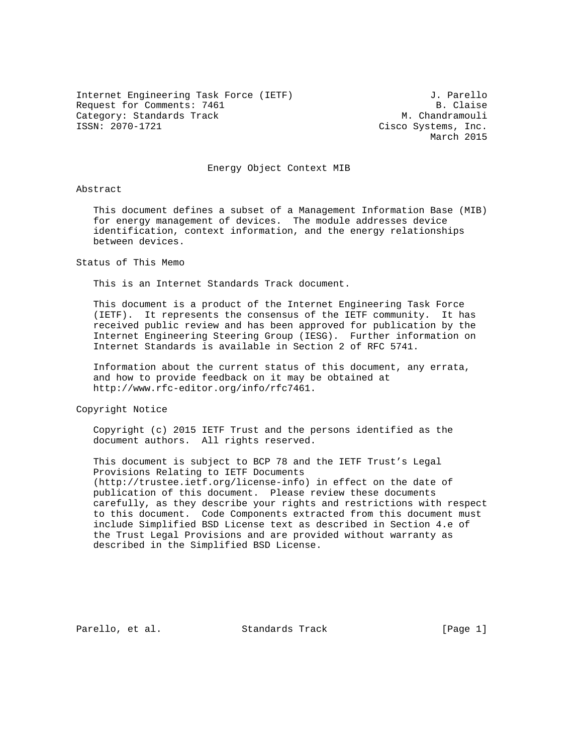Internet Engineering Task Force (IETF) 3. Parello Request for Comments: 7461 B. Claise Category: Standards Track M. Chandramouli<br>
ISSN: 2070-1721 Cisco Systems, Inc.

Cisco Systems, Inc. March 2015

## Energy Object Context MIB

### Abstract

 This document defines a subset of a Management Information Base (MIB) for energy management of devices. The module addresses device identification, context information, and the energy relationships between devices.

Status of This Memo

This is an Internet Standards Track document.

 This document is a product of the Internet Engineering Task Force (IETF). It represents the consensus of the IETF community. It has received public review and has been approved for publication by the Internet Engineering Steering Group (IESG). Further information on Internet Standards is available in Section 2 of RFC 5741.

 Information about the current status of this document, any errata, and how to provide feedback on it may be obtained at http://www.rfc-editor.org/info/rfc7461.

Copyright Notice

 Copyright (c) 2015 IETF Trust and the persons identified as the document authors. All rights reserved.

 This document is subject to BCP 78 and the IETF Trust's Legal Provisions Relating to IETF Documents (http://trustee.ietf.org/license-info) in effect on the date of publication of this document. Please review these documents carefully, as they describe your rights and restrictions with respect to this document. Code Components extracted from this document must include Simplified BSD License text as described in Section 4.e of the Trust Legal Provisions and are provided without warranty as described in the Simplified BSD License.

Parello, et al. Standards Track [Page 1]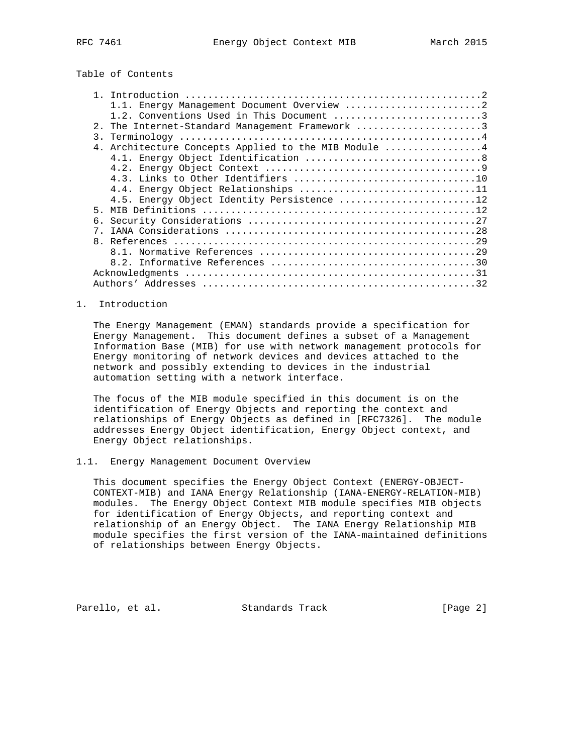Table of Contents

|                  | 1.1. Energy Management Document Overview 2        |  |  |
|------------------|---------------------------------------------------|--|--|
|                  | 1.2. Conventions Used in This Document 3          |  |  |
|                  | 2. The Internet-Standard Management Framework 3   |  |  |
| $\overline{3}$ . |                                                   |  |  |
| 4.               | Architecture Concepts Applied to the MIB Module 4 |  |  |
|                  |                                                   |  |  |
|                  |                                                   |  |  |
|                  |                                                   |  |  |
|                  | 4.4. Energy Object Relationships 11               |  |  |
|                  | 4.5. Energy Object Identity Persistence 12        |  |  |
| 5.               |                                                   |  |  |
|                  |                                                   |  |  |
|                  |                                                   |  |  |
| 8 <sub>1</sub>   |                                                   |  |  |
|                  |                                                   |  |  |
|                  |                                                   |  |  |
|                  |                                                   |  |  |
|                  |                                                   |  |  |
|                  |                                                   |  |  |

## 1. Introduction

 The Energy Management (EMAN) standards provide a specification for Energy Management. This document defines a subset of a Management Information Base (MIB) for use with network management protocols for Energy monitoring of network devices and devices attached to the network and possibly extending to devices in the industrial automation setting with a network interface.

 The focus of the MIB module specified in this document is on the identification of Energy Objects and reporting the context and relationships of Energy Objects as defined in [RFC7326]. The module addresses Energy Object identification, Energy Object context, and Energy Object relationships.

### 1.1. Energy Management Document Overview

 This document specifies the Energy Object Context (ENERGY-OBJECT- CONTEXT-MIB) and IANA Energy Relationship (IANA-ENERGY-RELATION-MIB) modules. The Energy Object Context MIB module specifies MIB objects for identification of Energy Objects, and reporting context and relationship of an Energy Object. The IANA Energy Relationship MIB module specifies the first version of the IANA-maintained definitions of relationships between Energy Objects.

Parello, et al. Standards Track [Page 2]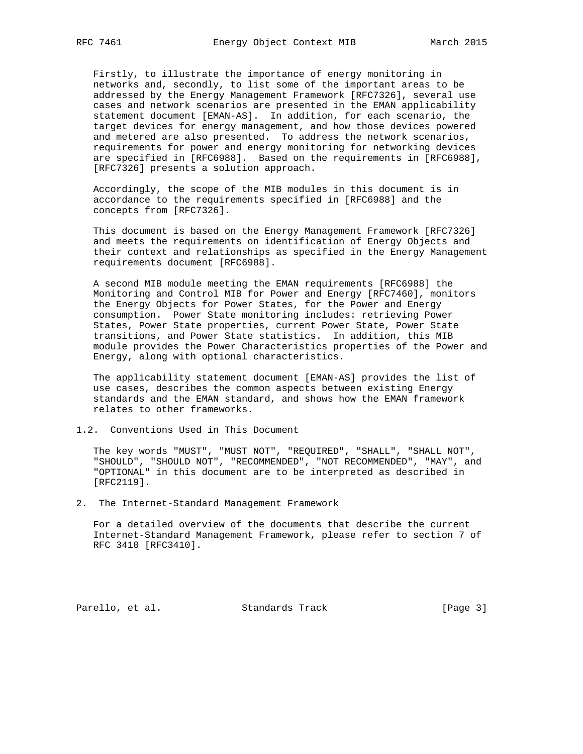Firstly, to illustrate the importance of energy monitoring in networks and, secondly, to list some of the important areas to be addressed by the Energy Management Framework [RFC7326], several use cases and network scenarios are presented in the EMAN applicability statement document [EMAN-AS]. In addition, for each scenario, the target devices for energy management, and how those devices powered and metered are also presented. To address the network scenarios, requirements for power and energy monitoring for networking devices are specified in [RFC6988]. Based on the requirements in [RFC6988], [RFC7326] presents a solution approach.

 Accordingly, the scope of the MIB modules in this document is in accordance to the requirements specified in [RFC6988] and the concepts from [RFC7326].

 This document is based on the Energy Management Framework [RFC7326] and meets the requirements on identification of Energy Objects and their context and relationships as specified in the Energy Management requirements document [RFC6988].

 A second MIB module meeting the EMAN requirements [RFC6988] the Monitoring and Control MIB for Power and Energy [RFC7460], monitors the Energy Objects for Power States, for the Power and Energy consumption. Power State monitoring includes: retrieving Power States, Power State properties, current Power State, Power State transitions, and Power State statistics. In addition, this MIB module provides the Power Characteristics properties of the Power and Energy, along with optional characteristics.

 The applicability statement document [EMAN-AS] provides the list of use cases, describes the common aspects between existing Energy standards and the EMAN standard, and shows how the EMAN framework relates to other frameworks.

# 1.2. Conventions Used in This Document

 The key words "MUST", "MUST NOT", "REQUIRED", "SHALL", "SHALL NOT", "SHOULD", "SHOULD NOT", "RECOMMENDED", "NOT RECOMMENDED", "MAY", and "OPTIONAL" in this document are to be interpreted as described in [RFC2119].

2. The Internet-Standard Management Framework

 For a detailed overview of the documents that describe the current Internet-Standard Management Framework, please refer to section 7 of RFC 3410 [RFC3410].

Parello, et al. Standards Track [Page 3]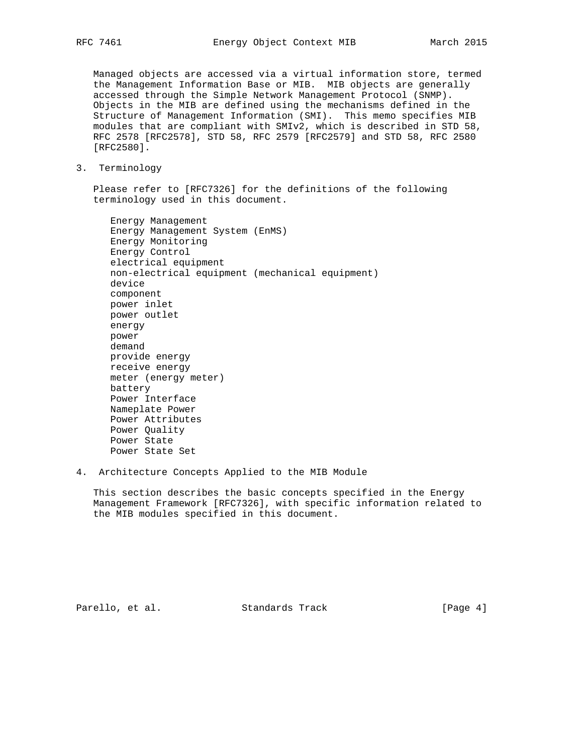Managed objects are accessed via a virtual information store, termed the Management Information Base or MIB. MIB objects are generally accessed through the Simple Network Management Protocol (SNMP). Objects in the MIB are defined using the mechanisms defined in the Structure of Management Information (SMI). This memo specifies MIB modules that are compliant with SMIv2, which is described in STD 58, RFC 2578 [RFC2578], STD 58, RFC 2579 [RFC2579] and STD 58, RFC 2580 [RFC2580].

3. Terminology

 Please refer to [RFC7326] for the definitions of the following terminology used in this document.

 Energy Management Energy Management System (EnMS) Energy Monitoring Energy Control electrical equipment non-electrical equipment (mechanical equipment) device component power inlet power outlet energy power demand provide energy receive energy meter (energy meter) battery Power Interface Nameplate Power Power Attributes Power Quality Power State Power State Set

4. Architecture Concepts Applied to the MIB Module

 This section describes the basic concepts specified in the Energy Management Framework [RFC7326], with specific information related to the MIB modules specified in this document.

Parello, et al. Standards Track [Page 4]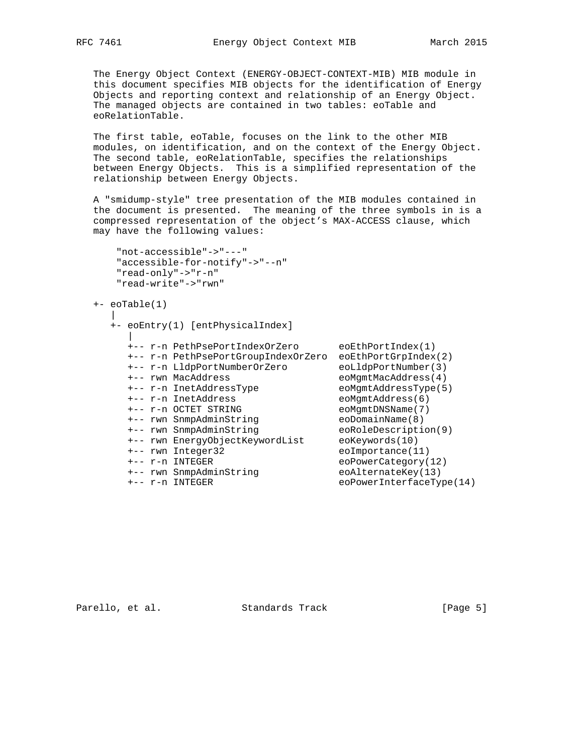The Energy Object Context (ENERGY-OBJECT-CONTEXT-MIB) MIB module in this document specifies MIB objects for the identification of Energy Objects and reporting context and relationship of an Energy Object. The managed objects are contained in two tables: eoTable and eoRelationTable.

 The first table, eoTable, focuses on the link to the other MIB modules, on identification, and on the context of the Energy Object. The second table, eoRelationTable, specifies the relationships between Energy Objects. This is a simplified representation of the relationship between Energy Objects.

 A "smidump-style" tree presentation of the MIB modules contained in the document is presented. The meaning of the three symbols in is a compressed representation of the object's MAX-ACCESS clause, which may have the following values:

```
 "not-accessible"->"---"
 "accessible-for-notify"->"--n"
 "read-only"->"r-n"
 "read-write"->"rwn"
```

```
 +- eoTable(1)
```

```
 |
     +- eoEntry(1) [entPhysicalIndex]
 |
      +-- r-n PethPsePortIndexOrZero eoEthPortIndex(1)
      +-- r-n PethPsePortGroupIndexOrZero eoEthPortGrpIndex(2)
 +-- r-n LldpPortNumberOrZero eoLldpPortNumber(3)
 +-- rwn MacAddress eoMgmtMacAddress(4)
 +-- r-n InetAddressType eoMgmtAddressType(5)
 +-- r-n InetAddress eoMgmtAddress(6)
 +-- r-n OCTET STRING eoMgmtDNSName(7)
 +-- rwn SnmpAdminString eoDomainName(8)
 +-- rwn SnmpAdminString eoRoleDescription(9)
 +-- rwn EnergyObjectKeywordList eoKeywords(10)
 +-- rwn Integer32 eoImportance(11)
 +-- r-n INTEGER eoPowerCategory(12)
 +-- rwn SnmpAdminString eoAlternateKey(13)
 +-- r-n INTEGER eoPowerInterfaceType(14)
```
Parello, et al. Standards Track [Page 5]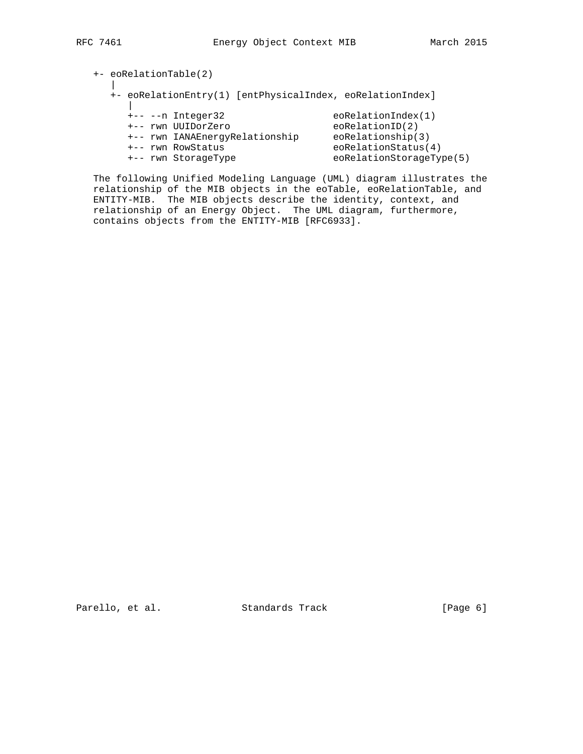+- eoRelationTable(2) | +- eoRelationEntry(1) [entPhysicalIndex, eoRelationIndex] | +-- --n Integer32 eoRelationIndex(1) +-- rwn UUIDorZero eoRelationID(2) +-- rwn IANAEnergyRelationship eoRelationship(3) +-- rwn RowStatus eoRelationStatus(4) +-- rwn StorageType eoRelationStorageType(5)

 The following Unified Modeling Language (UML) diagram illustrates the relationship of the MIB objects in the eoTable, eoRelationTable, and ENTITY-MIB. The MIB objects describe the identity, context, and relationship of an Energy Object. The UML diagram, furthermore, contains objects from the ENTITY-MIB [RFC6933].

Parello, et al. Standards Track [Page 6]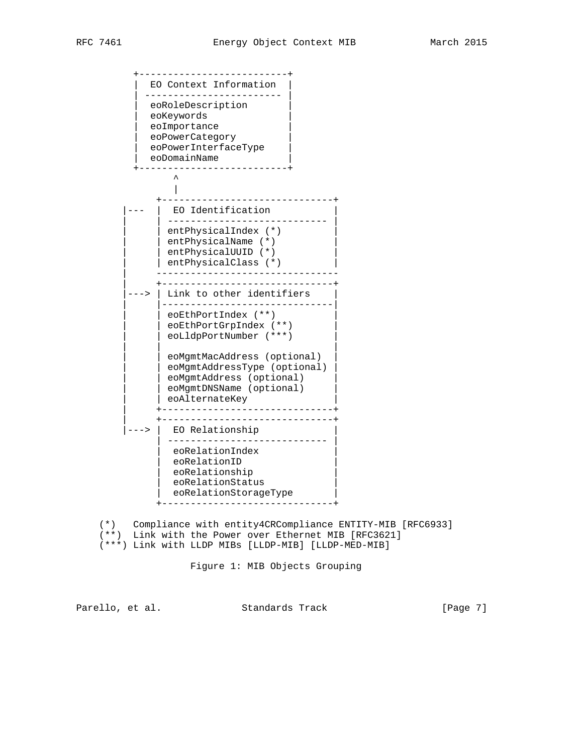+--------------------------+ EO Context Information | ------------------------ | | eoRoleDescription | eoKeywords eoImportance eoPowerCategory | eoPowerInterfaceType | | eoDomainName | +--------------------------+  $\sim$   $\sim$   $\sim$   $\sim$   $\sim$  $\blacksquare$  +------------------------------+ | EO Identification | | ---------------------------- | | entPhysicalIndex (\*) | | entPhysicalName (\*) | | | entPhysicalUUID (\*) |  $|$  entPhysicalClass  $(*)$  | -------------------------------- | +------------------------------+ ---> | Link to other identifiers | |------------------------------| | eoEthPortIndex (\*\*) | eoEthPortGrpIndex (\*\*) | eoLldpPortNumber (\*\*\*) | | | | eoMgmtMacAddress (optional) | eoMgmtAddressType (optional) | eoMgmtAddress (optional) | eoMgmtDNSName (optional) | eoAlternateKey | +------------------------------+ | +------------------------------+ ---> | EO Relationship | ---------------------------- | eoRelationIndex eoRelationID eoRelationship | eoRelationStatus | | eoRelationStorageType | +------------------------------+

 (\*) Compliance with entity4CRCompliance ENTITY-MIB [RFC6933] (\*\*) Link with the Power over Ethernet MIB [RFC3621] (\*\*\*) Link with LLDP MIBs [LLDP-MIB] [LLDP-MED-MIB]

Figure 1: MIB Objects Grouping

Parello, et al. Standards Track [Page 7]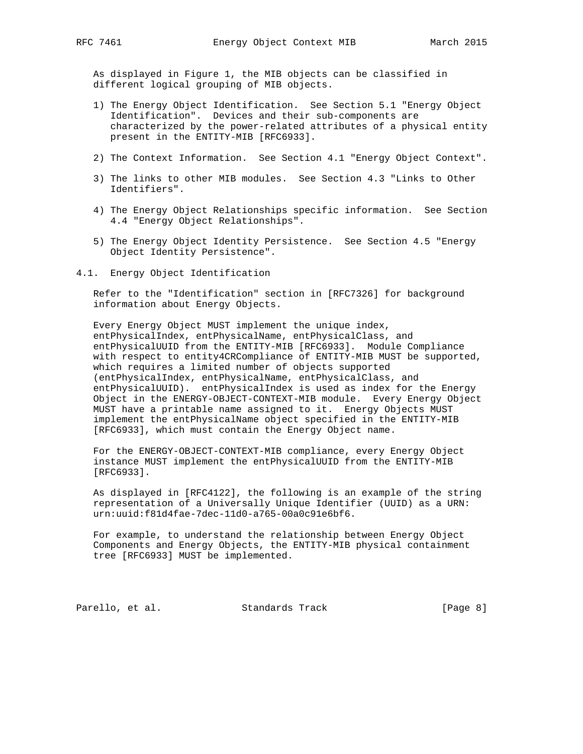As displayed in Figure 1, the MIB objects can be classified in different logical grouping of MIB objects.

- 1) The Energy Object Identification. See Section 5.1 "Energy Object Identification". Devices and their sub-components are characterized by the power-related attributes of a physical entity present in the ENTITY-MIB [RFC6933].
- 2) The Context Information. See Section 4.1 "Energy Object Context".
- 3) The links to other MIB modules. See Section 4.3 "Links to Other Identifiers".
- 4) The Energy Object Relationships specific information. See Section 4.4 "Energy Object Relationships".
- 5) The Energy Object Identity Persistence. See Section 4.5 "Energy Object Identity Persistence".
- 4.1. Energy Object Identification

 Refer to the "Identification" section in [RFC7326] for background information about Energy Objects.

 Every Energy Object MUST implement the unique index, entPhysicalIndex, entPhysicalName, entPhysicalClass, and entPhysicalUUID from the ENTITY-MIB [RFC6933]. Module Compliance with respect to entity4CRCompliance of ENTITY-MIB MUST be supported, which requires a limited number of objects supported (entPhysicalIndex, entPhysicalName, entPhysicalClass, and entPhysicalUUID). entPhysicalIndex is used as index for the Energy Object in the ENERGY-OBJECT-CONTEXT-MIB module. Every Energy Object MUST have a printable name assigned to it. Energy Objects MUST implement the entPhysicalName object specified in the ENTITY-MIB [RFC6933], which must contain the Energy Object name.

 For the ENERGY-OBJECT-CONTEXT-MIB compliance, every Energy Object instance MUST implement the entPhysicalUUID from the ENTITY-MIB [RFC6933].

 As displayed in [RFC4122], the following is an example of the string representation of a Universally Unique Identifier (UUID) as a URN: urn:uuid:f81d4fae-7dec-11d0-a765-00a0c91e6bf6.

 For example, to understand the relationship between Energy Object Components and Energy Objects, the ENTITY-MIB physical containment tree [RFC6933] MUST be implemented.

Parello, et al. Standards Track [Page 8]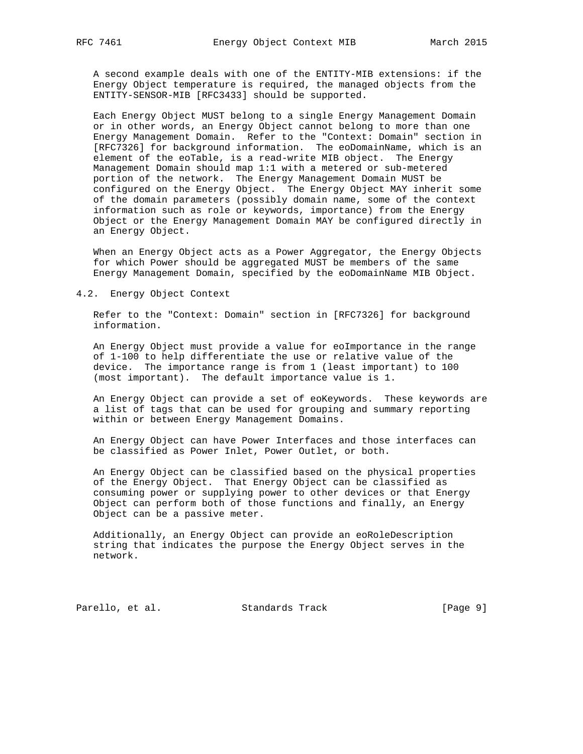A second example deals with one of the ENTITY-MIB extensions: if the Energy Object temperature is required, the managed objects from the ENTITY-SENSOR-MIB [RFC3433] should be supported.

 Each Energy Object MUST belong to a single Energy Management Domain or in other words, an Energy Object cannot belong to more than one Energy Management Domain. Refer to the "Context: Domain" section in [RFC7326] for background information. The eoDomainName, which is an element of the eoTable, is a read-write MIB object. The Energy Management Domain should map 1:1 with a metered or sub-metered portion of the network. The Energy Management Domain MUST be configured on the Energy Object. The Energy Object MAY inherit some of the domain parameters (possibly domain name, some of the context information such as role or keywords, importance) from the Energy Object or the Energy Management Domain MAY be configured directly in an Energy Object.

 When an Energy Object acts as a Power Aggregator, the Energy Objects for which Power should be aggregated MUST be members of the same Energy Management Domain, specified by the eoDomainName MIB Object.

4.2. Energy Object Context

 Refer to the "Context: Domain" section in [RFC7326] for background information.

 An Energy Object must provide a value for eoImportance in the range of 1-100 to help differentiate the use or relative value of the device. The importance range is from 1 (least important) to 100 (most important). The default importance value is 1.

 An Energy Object can provide a set of eoKeywords. These keywords are a list of tags that can be used for grouping and summary reporting within or between Energy Management Domains.

 An Energy Object can have Power Interfaces and those interfaces can be classified as Power Inlet, Power Outlet, or both.

 An Energy Object can be classified based on the physical properties of the Energy Object. That Energy Object can be classified as consuming power or supplying power to other devices or that Energy Object can perform both of those functions and finally, an Energy Object can be a passive meter.

 Additionally, an Energy Object can provide an eoRoleDescription string that indicates the purpose the Energy Object serves in the network.

Parello, et al. Standards Track [Page 9]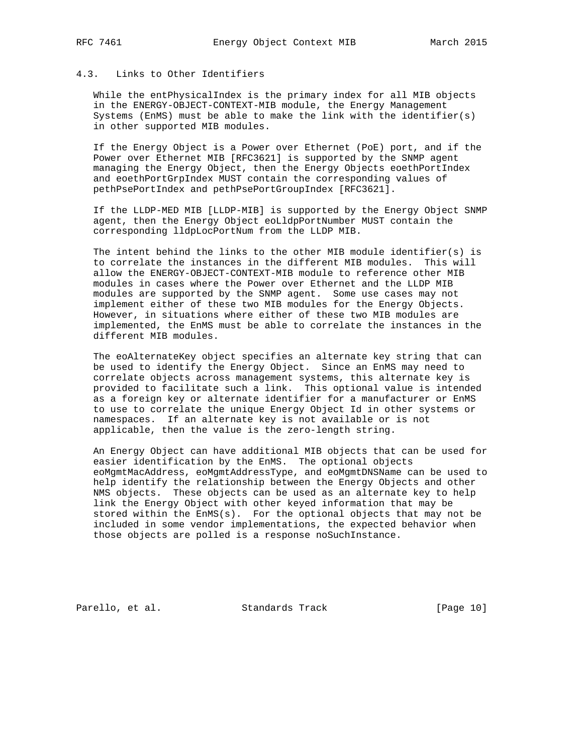# 4.3. Links to Other Identifiers

 While the entPhysicalIndex is the primary index for all MIB objects in the ENERGY-OBJECT-CONTEXT-MIB module, the Energy Management Systems (EnMS) must be able to make the link with the identifier(s) in other supported MIB modules.

 If the Energy Object is a Power over Ethernet (PoE) port, and if the Power over Ethernet MIB [RFC3621] is supported by the SNMP agent managing the Energy Object, then the Energy Objects eoethPortIndex and eoethPortGrpIndex MUST contain the corresponding values of pethPsePortIndex and pethPsePortGroupIndex [RFC3621].

 If the LLDP-MED MIB [LLDP-MIB] is supported by the Energy Object SNMP agent, then the Energy Object eoLldpPortNumber MUST contain the corresponding lldpLocPortNum from the LLDP MIB.

The intent behind the links to the other MIB module identifier(s) is to correlate the instances in the different MIB modules. This will allow the ENERGY-OBJECT-CONTEXT-MIB module to reference other MIB modules in cases where the Power over Ethernet and the LLDP MIB modules are supported by the SNMP agent. Some use cases may not implement either of these two MIB modules for the Energy Objects. However, in situations where either of these two MIB modules are implemented, the EnMS must be able to correlate the instances in the different MIB modules.

 The eoAlternateKey object specifies an alternate key string that can be used to identify the Energy Object. Since an EnMS may need to correlate objects across management systems, this alternate key is provided to facilitate such a link. This optional value is intended as a foreign key or alternate identifier for a manufacturer or EnMS to use to correlate the unique Energy Object Id in other systems or namespaces. If an alternate key is not available or is not applicable, then the value is the zero-length string.

 An Energy Object can have additional MIB objects that can be used for easier identification by the EnMS. The optional objects eoMgmtMacAddress, eoMgmtAddressType, and eoMgmtDNSName can be used to help identify the relationship between the Energy Objects and other NMS objects. These objects can be used as an alternate key to help link the Energy Object with other keyed information that may be stored within the  $EMS(s)$ . For the optional objects that may not be included in some vendor implementations, the expected behavior when those objects are polled is a response noSuchInstance.

Parello, et al. Standards Track [Page 10]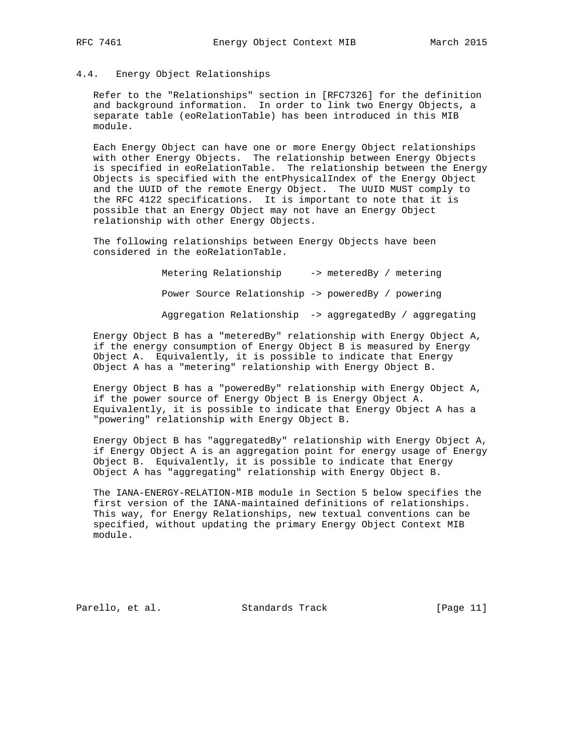# 4.4. Energy Object Relationships

 Refer to the "Relationships" section in [RFC7326] for the definition and background information. In order to link two Energy Objects, a separate table (eoRelationTable) has been introduced in this MIB module.

 Each Energy Object can have one or more Energy Object relationships with other Energy Objects. The relationship between Energy Objects is specified in eoRelationTable. The relationship between the Energy Objects is specified with the entPhysicalIndex of the Energy Object and the UUID of the remote Energy Object. The UUID MUST comply to the RFC 4122 specifications. It is important to note that it is possible that an Energy Object may not have an Energy Object relationship with other Energy Objects.

 The following relationships between Energy Objects have been considered in the eoRelationTable.

> Metering Relationship -> meteredBy / metering Power Source Relationship -> poweredBy / powering Aggregation Relationship -> aggregatedBy / aggregating

 Energy Object B has a "meteredBy" relationship with Energy Object A, if the energy consumption of Energy Object B is measured by Energy Object A. Equivalently, it is possible to indicate that Energy Object A has a "metering" relationship with Energy Object B.

 Energy Object B has a "poweredBy" relationship with Energy Object A, if the power source of Energy Object B is Energy Object A. Equivalently, it is possible to indicate that Energy Object A has a "powering" relationship with Energy Object B.

 Energy Object B has "aggregatedBy" relationship with Energy Object A, if Energy Object A is an aggregation point for energy usage of Energy Object B. Equivalently, it is possible to indicate that Energy Object A has "aggregating" relationship with Energy Object B.

 The IANA-ENERGY-RELATION-MIB module in Section 5 below specifies the first version of the IANA-maintained definitions of relationships. This way, for Energy Relationships, new textual conventions can be specified, without updating the primary Energy Object Context MIB module.

Parello, et al. Standards Track [Page 11]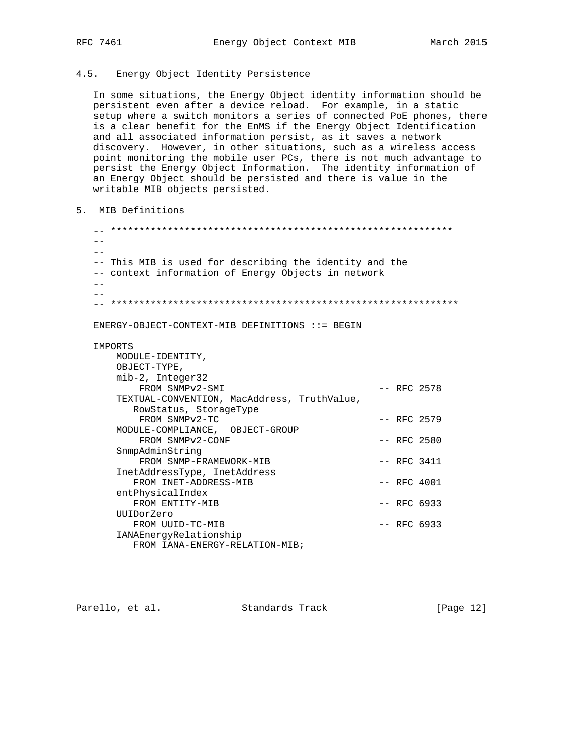## 4.5. Energy Object Identity Persistence

 In some situations, the Energy Object identity information should be persistent even after a device reload. For example, in a static setup where a switch monitors a series of connected PoE phones, there is a clear benefit for the EnMS if the Energy Object Identification and all associated information persist, as it saves a network discovery. However, in other situations, such as a wireless access point monitoring the mobile user PCs, there is not much advantage to persist the Energy Object Information. The identity information of an Energy Object should be persisted and there is value in the writable MIB objects persisted.

5. MIB Definitions

 -- \*\*\*\*\*\*\*\*\*\*\*\*\*\*\*\*\*\*\*\*\*\*\*\*\*\*\*\*\*\*\*\*\*\*\*\*\*\*\*\*\*\*\*\*\*\*\*\*\*\*\*\*\*\*\*\*\*\*\*\* --  $-$  -- This MIB is used for describing the identity and the -- context information of Energy Objects in network  $- -$  -- -- \*\*\*\*\*\*\*\*\*\*\*\*\*\*\*\*\*\*\*\*\*\*\*\*\*\*\*\*\*\*\*\*\*\*\*\*\*\*\*\*\*\*\*\*\*\*\*\*\*\*\*\*\*\*\*\*\*\*\*\*\* ENERGY-OBJECT-CONTEXT-MIB DEFINITIONS  $::=$  BEGIN IMPORTS MODULE-IDENTITY, OBJECT-TYPE, mib-2, Integer32 FROM SNMPv2-SMI -- RFC 2578 TEXTUAL-CONVENTION, MacAddress, TruthValue, RowStatus, StorageType  $FROM \quad \text{SNNPv2-TC}$   $-- \quad \text{RFC} \quad 2579$  MODULE-COMPLIANCE, OBJECT-GROUP FROM SNMPv2-CONF -- RFC 2580 SnmpAdminString FROM SNMP-FRAMEWORK-MIB -- RFC 3411 InetAddressType, InetAddress FROM INET-ADDRESS-MIB -- RFC 4001 entPhysicalIndex FROM ENTITY-MIB  $-$  PRC 6933 UUIDorZero FROM UUID-TC-MIB  $-$  PRFC 6933 IANAEnergyRelationship FROM IANA-ENERGY-RELATION-MIB;

Parello, et al. Standards Track [Page 12]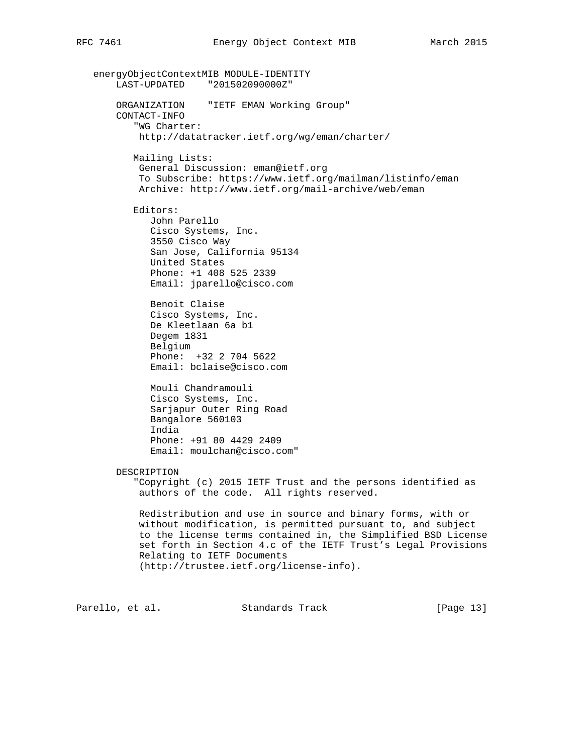energyObjectContextMIB MODULE-IDENTITY LAST-UPDATED "201502090000Z" ORGANIZATION "IETF EMAN Working Group" CONTACT-INFO "WG Charter: http://datatracker.ietf.org/wg/eman/charter/ Mailing Lists: General Discussion: eman@ietf.org To Subscribe: https://www.ietf.org/mailman/listinfo/eman Archive: http://www.ietf.org/mail-archive/web/eman Editors: John Parello Cisco Systems, Inc. 3550 Cisco Way San Jose, California 95134 United States Phone: +1 408 525 2339 Email: jparello@cisco.com Benoit Claise Cisco Systems, Inc. De Kleetlaan 6a b1 Degem 1831 Belgium Phone: +32 2 704 5622 Email: bclaise@cisco.com Mouli Chandramouli Cisco Systems, Inc. Sarjapur Outer Ring Road Bangalore 560103 India Phone: +91 80 4429 2409 Email: moulchan@cisco.com" DESCRIPTION "Copyright (c) 2015 IETF Trust and the persons identified as authors of the code. All rights reserved. Redistribution and use in source and binary forms, with or without modification, is permitted pursuant to, and subject to the license terms contained in, the Simplified BSD License set forth in Section 4.c of the IETF Trust's Legal Provisions Relating to IETF Documents (http://trustee.ietf.org/license-info). Parello, et al. Standards Track [Page 13]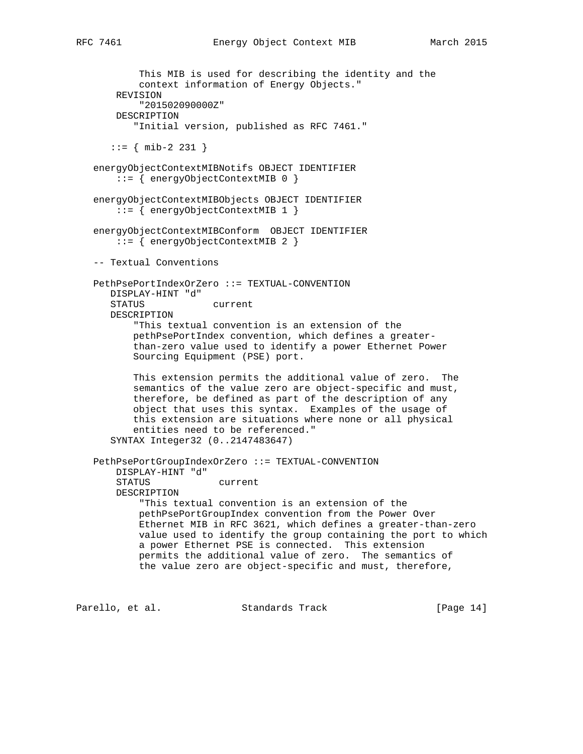This MIB is used for describing the identity and the context information of Energy Objects." REVISION "201502090000Z" DESCRIPTION "Initial version, published as RFC 7461."  $::=$  { mib-2 231 } energyObjectContextMIBNotifs OBJECT IDENTIFIER ::= { energyObjectContextMIB 0 } energyObjectContextMIBObjects OBJECT IDENTIFIER ::= { energyObjectContextMIB 1 } energyObjectContextMIBConform OBJECT IDENTIFIER ::= { energyObjectContextMIB 2 } -- Textual Conventions PethPsePortIndexOrZero ::= TEXTUAL-CONVENTION DISPLAY-HINT "d" STATUS current DESCRIPTION "This textual convention is an extension of the pethPsePortIndex convention, which defines a greater than-zero value used to identify a power Ethernet Power Sourcing Equipment (PSE) port. This extension permits the additional value of zero. The semantics of the value zero are object-specific and must, therefore, be defined as part of the description of any object that uses this syntax. Examples of the usage of this extension are situations where none or all physical entities need to be referenced." SYNTAX Integer32 (0..2147483647) PethPsePortGroupIndexOrZero ::= TEXTUAL-CONVENTION DISPLAY-HINT "d" STATUS current DESCRIPTION "This textual convention is an extension of the pethPsePortGroupIndex convention from the Power Over Ethernet MIB in RFC 3621, which defines a greater-than-zero value used to identify the group containing the port to which a power Ethernet PSE is connected. This extension permits the additional value of zero. The semantics of the value zero are object-specific and must, therefore,

Parello, et al. Standards Track [Page 14]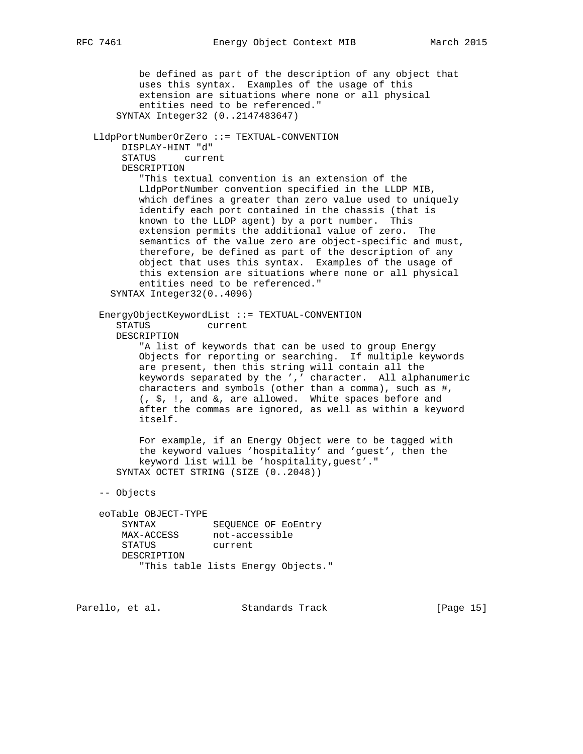be defined as part of the description of any object that uses this syntax. Examples of the usage of this extension are situations where none or all physical entities need to be referenced." SYNTAX Integer32 (0..2147483647) LldpPortNumberOrZero ::= TEXTUAL-CONVENTION DISPLAY-HINT "d" STATUS current DESCRIPTION "This textual convention is an extension of the LldpPortNumber convention specified in the LLDP MIB, which defines a greater than zero value used to uniquely identify each port contained in the chassis (that is known to the LLDP agent) by a port number. This extension permits the additional value of zero. The semantics of the value zero are object-specific and must, therefore, be defined as part of the description of any object that uses this syntax. Examples of the usage of this extension are situations where none or all physical entities need to be referenced." SYNTAX Integer32(0..4096) EnergyObjectKeywordList ::= TEXTUAL-CONVENTION STATUS current DESCRIPTION "A list of keywords that can be used to group Energy Objects for reporting or searching. If multiple keywords are present, then this string will contain all the keywords separated by the ',' character. All alphanumeric characters and symbols (other than a comma), such as #, (, \$, !, and &, are allowed. White spaces before and after the commas are ignored, as well as within a keyword itself. For example, if an Energy Object were to be tagged with the keyword values 'hospitality' and 'guest', then the keyword list will be 'hospitality,guest'." SYNTAX OCTET STRING (SIZE (0..2048)) -- Objects eoTable OBJECT-TYPE SYNTAX SEQUENCE OF EoEntry MAX-ACCESS not-accessible STATUS current DESCRIPTION "This table lists Energy Objects."

Parello, et al. Standards Track [Page 15]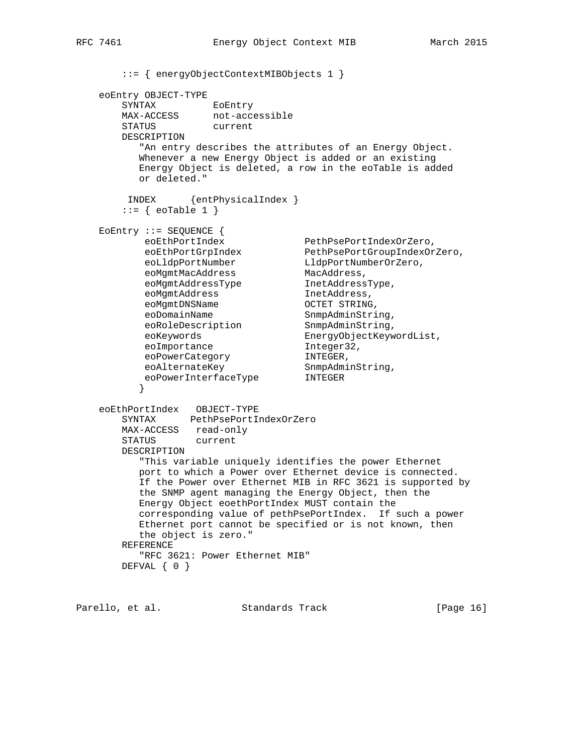::= { energyObjectContextMIBObjects 1 } eoEntry OBJECT-TYPE SYNTAX EOEntry MAX-ACCESS not-accessible STATUS current DESCRIPTION "An entry describes the attributes of an Energy Object. Whenever a new Energy Object is added or an existing Energy Object is deleted, a row in the eoTable is added or deleted." INDEX {entPhysicalIndex }  $::=$  { eoTable 1 } EoEntry ::= SEQUENCE { eoEthPortIndex PethPsePortIndexOrZero, eoEthPortGrpIndex PethPsePortGroupIndexOrZero, eoLldpPortNumber LldpPortNumberOrZero, eoMgmtMacAddress MacAddress, eoMgmtAddressType InetAddressType, eoMgmtAddress inturnational inetAddress, eoMgmtDNSName OCTET STRING, eoDomainName SnmpAdminString, eoRoleDescription SnmpAdminString, eoKeywords EnergyObjectKeywordList, eoImportance integer32, eoPowerCategory MINTEGER, eoAlternateKey SnmpAdminString, eoPowerInterfaceType INTEGER } eoEthPortIndex OBJECT-TYPE SYNTAX PethPsePortIndexOrZero MAX-ACCESS read-only STATUS current DESCRIPTION "This variable uniquely identifies the power Ethernet port to which a Power over Ethernet device is connected. If the Power over Ethernet MIB in RFC 3621 is supported by the SNMP agent managing the Energy Object, then the Energy Object eoethPortIndex MUST contain the corresponding value of pethPsePortIndex. If such a power Ethernet port cannot be specified or is not known, then the object is zero." REFERENCE "RFC 3621: Power Ethernet MIB" DEFVAL { 0 }

Parello, et al. Standards Track [Page 16]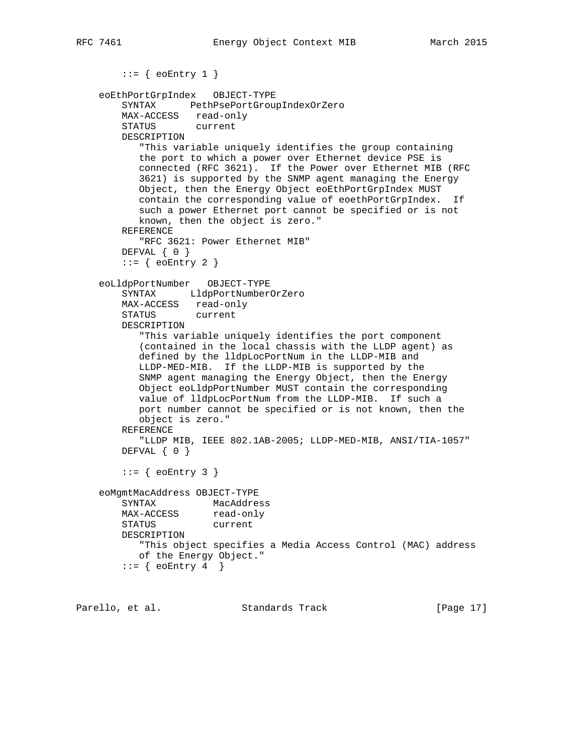```
::= { eoEntry 1 }
    eoEthPortGrpIndex OBJECT-TYPE
        SYNTAX PethPsePortGroupIndexOrZero
        MAX-ACCESS read-only
        STATUS current
        DESCRIPTION
           "This variable uniquely identifies the group containing
           the port to which a power over Ethernet device PSE is
           connected (RFC 3621). If the Power over Ethernet MIB (RFC
           3621) is supported by the SNMP agent managing the Energy
           Object, then the Energy Object eoEthPortGrpIndex MUST
           contain the corresponding value of eoethPortGrpIndex. If
           such a power Ethernet port cannot be specified or is not
           known, then the object is zero."
        REFERENCE
           "RFC 3621: Power Ethernet MIB"
        DEFVAL { 0 }
       ::= { eoEntry 2 }
    eoLldpPortNumber OBJECT-TYPE
        SYNTAX LldpPortNumberOrZero
        MAX-ACCESS read-only
        STATUS current
        DESCRIPTION
           "This variable uniquely identifies the port component
           (contained in the local chassis with the LLDP agent) as
           defined by the lldpLocPortNum in the LLDP-MIB and
           LLDP-MED-MIB. If the LLDP-MIB is supported by the
           SNMP agent managing the Energy Object, then the Energy
           Object eoLldpPortNumber MUST contain the corresponding
           value of lldpLocPortNum from the LLDP-MIB. If such a
           port number cannot be specified or is not known, then the
           object is zero."
        REFERENCE
           "LLDP MIB, IEEE 802.1AB-2005; LLDP-MED-MIB, ANSI/TIA-1057"
       DEFVAL { 0 }
       ::= { eoEntry 3 }
    eoMgmtMacAddress OBJECT-TYPE
        SYNTAX MacAddress
MAX-ACCESS read-only
 STATUS current
        DESCRIPTION
           "This object specifies a Media Access Control (MAC) address
           of the Energy Object."
       ::= { eoEntry 4 }
```
Parello, et al. Standards Track [Page 17]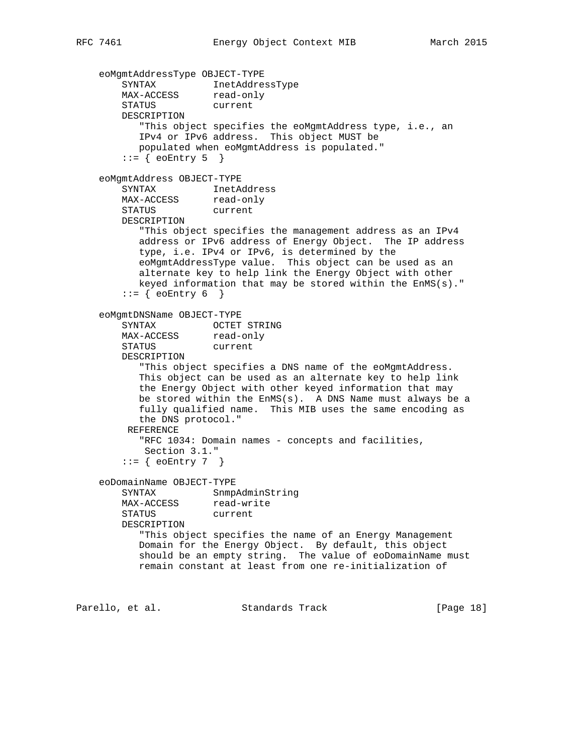```
 eoMgmtAddressType OBJECT-TYPE
 SYNTAX InetAddressType
MAX-ACCESS read-only
        STATUS current
        DESCRIPTION
           "This object specifies the eoMgmtAddress type, i.e., an
          IPv4 or IPv6 address. This object MUST be
          populated when eoMgmtAddress is populated."
       ::= { eoEntry 5 }
    eoMgmtAddress OBJECT-TYPE
 SYNTAX InetAddress
MAX-ACCESS read-only
 STATUS current
        DESCRIPTION
           "This object specifies the management address as an IPv4
          address or IPv6 address of Energy Object. The IP address
          type, i.e. IPv4 or IPv6, is determined by the
          eoMgmtAddressType value. This object can be used as an
          alternate key to help link the Energy Object with other
          keyed information that may be stored within the EnMS(s)."
       ::= { eoEntry 6 }
    eoMgmtDNSName OBJECT-TYPE
 SYNTAX OCTET STRING
MAX-ACCESS read-only
 STATUS current
        DESCRIPTION
           "This object specifies a DNS name of the eoMgmtAddress.
          This object can be used as an alternate key to help link
          the Energy Object with other keyed information that may
          be stored within the EnMS(s). A DNS Name must always be a
          fully qualified name. This MIB uses the same encoding as
          the DNS protocol."
         REFERENCE
           "RFC 1034: Domain names - concepts and facilities,
           Section 3.1."
       ::= { eoEntry 7 }
    eoDomainName OBJECT-TYPE
       SYNTAX SnmpAdminString
MAX-ACCESS read-write
 STATUS current
        DESCRIPTION
           "This object specifies the name of an Energy Management
          Domain for the Energy Object. By default, this object
          should be an empty string. The value of eoDomainName must
          remain constant at least from one re-initialization of
```
Parello, et al. Standards Track [Page 18]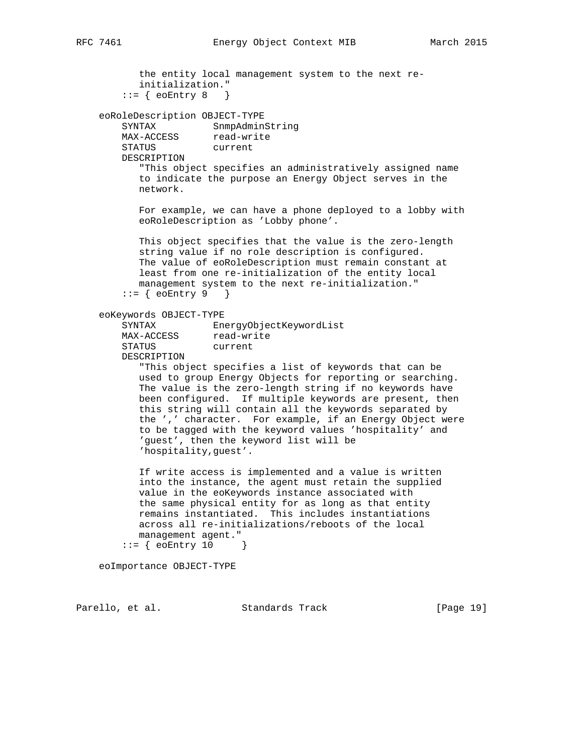the entity local management system to the next re initialization."

```
::= { eoEntry 8 }
```
 eoRoleDescription OBJECT-TYPE SYNTAX SnmpAdminString

MAX-ACCESS read-write SINIAN<br>MAX-ACCESS read-wr:<br>STATUS current

DESCRIPTION

 "This object specifies an administratively assigned name to indicate the purpose an Energy Object serves in the network.

 For example, we can have a phone deployed to a lobby with eoRoleDescription as 'Lobby phone'.

 This object specifies that the value is the zero-length string value if no role description is configured. The value of eoRoleDescription must remain constant at least from one re-initialization of the entity local management system to the next re-initialization."  $::= \{ \text{coEntry 9} \}$ 

eoKeywords OBJECT-TYPE

```
 SYNTAX EnergyObjectKeywordList
MAX-ACCESS read-write
      STATUS current
```
DESCRIPTION

 "This object specifies a list of keywords that can be used to group Energy Objects for reporting or searching. The value is the zero-length string if no keywords have been configured. If multiple keywords are present, then this string will contain all the keywords separated by the ',' character. For example, if an Energy Object were to be tagged with the keyword values 'hospitality' and 'guest', then the keyword list will be 'hospitality,guest'.

 If write access is implemented and a value is written into the instance, the agent must retain the supplied value in the eoKeywords instance associated with the same physical entity for as long as that entity remains instantiated. This includes instantiations across all re-initializations/reboots of the local management agent."  $::=$  { eoEntry 10 }

eoImportance OBJECT-TYPE

Parello, et al. Standards Track [Page 19]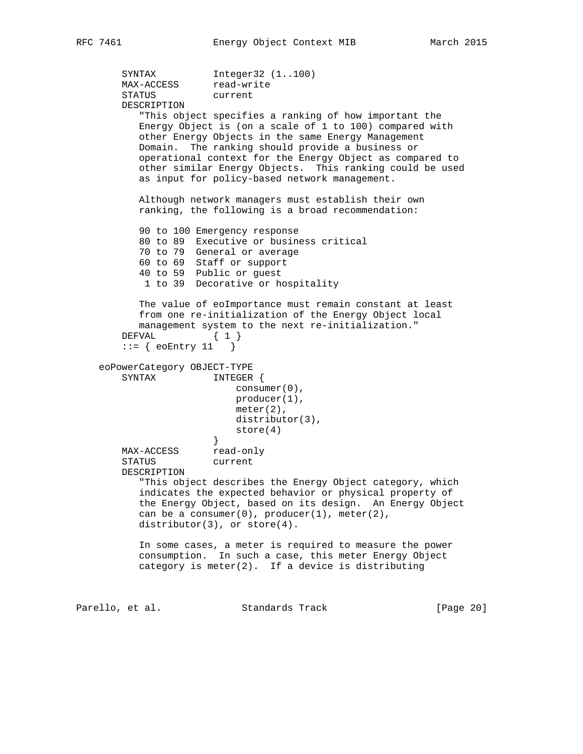```
SYNTAX Integer32 (1..100)
MAX-ACCESS read-write
 STATUS current
        DESCRIPTION
           "This object specifies a ranking of how important the
           Energy Object is (on a scale of 1 to 100) compared with
           other Energy Objects in the same Energy Management
           Domain. The ranking should provide a business or
           operational context for the Energy Object as compared to
           other similar Energy Objects. This ranking could be used
           as input for policy-based network management.
           Although network managers must establish their own
           ranking, the following is a broad recommendation:
           90 to 100 Emergency response
           80 to 89 Executive or business critical
           70 to 79 General or average
           60 to 69 Staff or support
           40 to 59 Public or guest
           1 to 39 Decorative or hospitality
           The value of eoImportance must remain constant at least
           from one re-initialization of the Energy Object local
           management system to the next re-initialization."
       DEFVAL { 1 }
       ::= { eoEntry 11 }
    eoPowerCategory OBJECT-TYPE
        SYNTAX INTEGER {
                          consumer(0),
                          producer(1),
                          meter(2),
                          distributor(3),
                      store(4) }
MAX-ACCESS read-only
 STATUS current
        DESCRIPTION
           "This object describes the Energy Object category, which
           indicates the expected behavior or physical property of
           the Energy Object, based on its design. An Energy Object
          can be a consumer(0), producer(1), meter(2),
          distributor(3), or store(4).
           In some cases, a meter is required to measure the power
           consumption. In such a case, this meter Energy Object
           category is meter(2). If a device is distributing
Parello, et al. Standards Track [Page 20]
```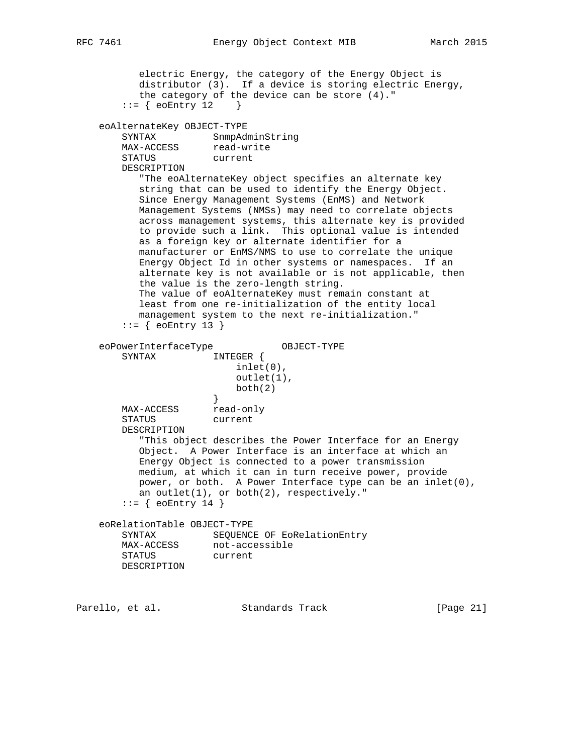```
 electric Energy, the category of the Energy Object is
           distributor (3). If a device is storing electric Energy,
           the category of the device can be store (4)."
       ::= { eoEntry 12 }
    eoAlternateKey OBJECT-TYPE
 SYNTAX SnmpAdminString
MAX-ACCESS read-write
 STATUS current
        DESCRIPTION
           "The eoAlternateKey object specifies an alternate key
           string that can be used to identify the Energy Object.
           Since Energy Management Systems (EnMS) and Network
           Management Systems (NMSs) may need to correlate objects
           across management systems, this alternate key is provided
           to provide such a link. This optional value is intended
           as a foreign key or alternate identifier for a
           manufacturer or EnMS/NMS to use to correlate the unique
           Energy Object Id in other systems or namespaces. If an
           alternate key is not available or is not applicable, then
           the value is the zero-length string.
           The value of eoAlternateKey must remain constant at
           least from one re-initialization of the entity local
           management system to the next re-initialization."
       ::= { eoEntry 13 }
    eoPowerInterfaceType OBJECT-TYPE
        SYNTAX INTEGER {
                          inlet(0),
                          outlet(1),
                      \left\{\n \begin{array}{c}\n \text{both}(2)\n \end{array}\n \right\} }
MAX-ACCESS read-only
 STATUS current
        DESCRIPTION
           "This object describes the Power Interface for an Energy
           Object. A Power Interface is an interface at which an
           Energy Object is connected to a power transmission
           medium, at which it can in turn receive power, provide
           power, or both. A Power Interface type can be an inlet(0),
           an outlet(1), or both(2), respectively."
       ::= { eoEntry 14 }
    eoRelationTable OBJECT-TYPE
        SYNTAX SEQUENCE OF EoRelationEntry
MAX-ACCESS not-accessible
 STATUS current
        DESCRIPTION
Parello, et al. Standards Track [Page 21]
```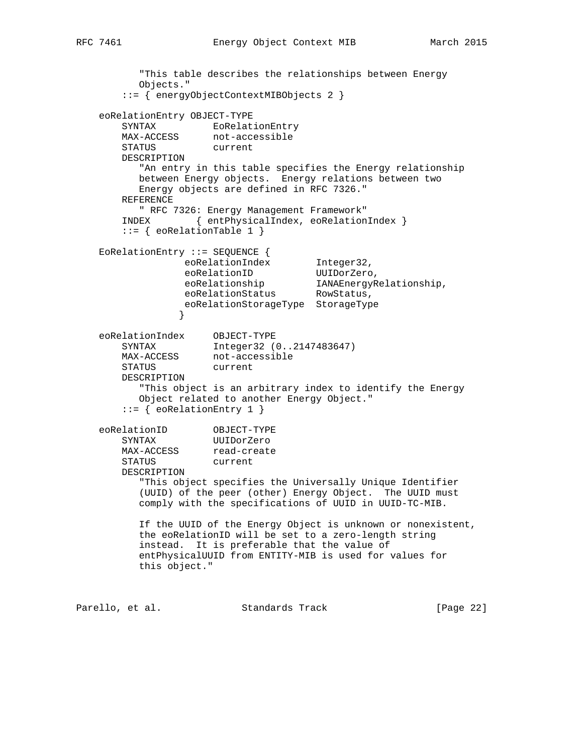```
 "This table describes the relationships between Energy
          Objects."
       ::= { energyObjectContextMIBObjects 2 }
    eoRelationEntry OBJECT-TYPE
      SYNTAX EoRelationEntry<br>MAX-ACCESS not-accessible
                   not-accessible
       STATUS current
       DESCRIPTION
          "An entry in this table specifies the Energy relationship
          between Energy objects. Energy relations between two
          Energy objects are defined in RFC 7326."
       REFERENCE
         " RFC 7326: Energy Management Framework"
       INDEX { entPhysicalIndex, eoRelationIndex }
       ::= { eoRelationTable 1 }
    EoRelationEntry ::= SEQUENCE {
eoRelationIndex Integer32,
eoRelationID UUIDorZero,
 eoRelationship IANAEnergyRelationship,
eoRelationStatus RowStatus,
                 eoRelationStorageType StorageType
 }
 eoRelationIndex OBJECT-TYPE
 SYNTAX Integer32 (0..2147483647)
MAX-ACCESS not-accessible
 STATUS current
       DESCRIPTION
          "This object is an arbitrary index to identify the Energy
          Object related to another Energy Object."
       ::= { eoRelationEntry 1 }
 eoRelationID OBJECT-TYPE
 SYNTAX UUIDorZero
MAX-ACCESS read-create
 STATUS current
       DESCRIPTION
          "This object specifies the Universally Unique Identifier
          (UUID) of the peer (other) Energy Object. The UUID must
          comply with the specifications of UUID in UUID-TC-MIB.
          If the UUID of the Energy Object is unknown or nonexistent,
          the eoRelationID will be set to a zero-length string
          instead. It is preferable that the value of
```
 entPhysicalUUID from ENTITY-MIB is used for values for this object."

Parello, et al. Standards Track [Page 22]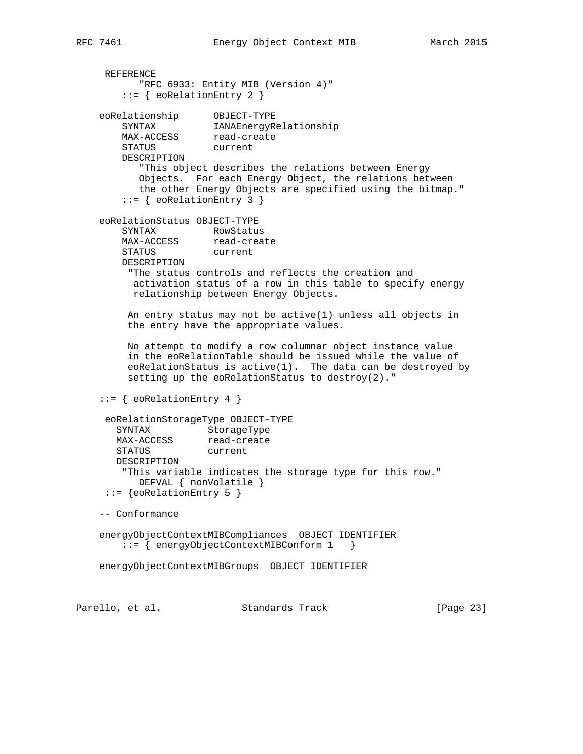```
 REFERENCE
          "RFC 6933: Entity MIB (Version 4)"
        ::= { eoRelationEntry 2 }
 eoRelationship OBJECT-TYPE
 SYNTAX IANAEnergyRelationship
MAX-ACCESS read-create
 STATUS current
        DESCRIPTION
           "This object describes the relations between Energy
          Objects. For each Energy Object, the relations between
          the other Energy Objects are specified using the bitmap."
        ::= { eoRelationEntry 3 }
    eoRelationStatus OBJECT-TYPE
        SYNTAX RowStatus
MAX-ACCESS read-create
 STATUS current
        DESCRIPTION
         "The status controls and reflects the creation and
         activation status of a row in this table to specify energy
         relationship between Energy Objects.
         An entry status may not be active(1) unless all objects in
         the entry have the appropriate values.
         No attempt to modify a row columnar object instance value
         in the eoRelationTable should be issued while the value of
         eoRelationStatus is active(1). The data can be destroyed by
         setting up the eoRelationStatus to destroy(2)."
   ::= { eoRelationEntry 4 }
     eoRelationStorageType OBJECT-TYPE
 SYNTAX StorageType
MAX-ACCESS read-create
 STATUS current
       DESCRIPTION
        "This variable indicates the storage type for this row."
          DEFVAL { nonVolatile }
    ::= {eoRelationEntry 5 }
    -- Conformance
    energyObjectContextMIBCompliances OBJECT IDENTIFIER
       ::= { energyObjectContextMIBConform 1 }
    energyObjectContextMIBGroups OBJECT IDENTIFIER
```
Parello, et al. Standards Track [Page 23]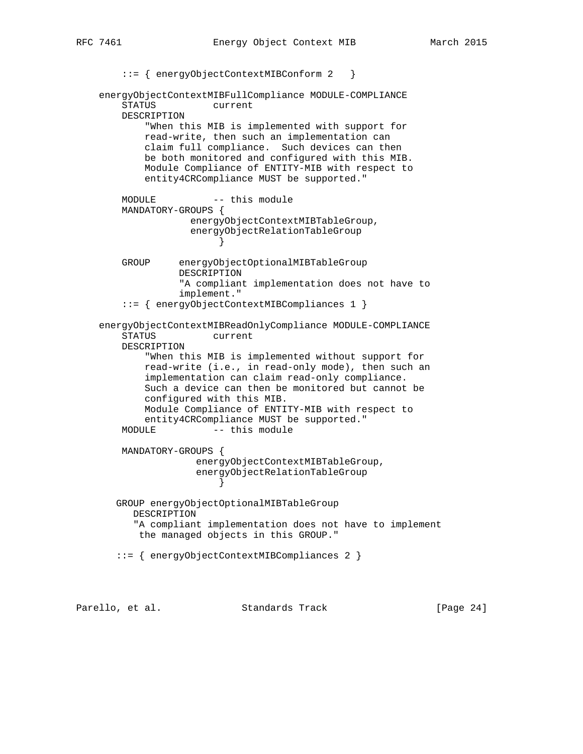```
::= { energyObjectContextMIBConform 2 }
    energyObjectContextMIBFullCompliance MODULE-COMPLIANCE
        STATUS current
        DESCRIPTION
            "When this MIB is implemented with support for
            read-write, then such an implementation can
            claim full compliance. Such devices can then
            be both monitored and configured with this MIB.
            Module Compliance of ENTITY-MIB with respect to
            entity4CRCompliance MUST be supported."
       MODULE -- this module
        MANDATORY-GROUPS {
                   energyObjectContextMIBTableGroup,
                    energyObjectRelationTableGroup
 }
        GROUP energyObjectOptionalMIBTableGroup
                 DESCRIPTION
                  "A compliant implementation does not have to
                  implement."
        ::= { energyObjectContextMIBCompliances 1 }
    energyObjectContextMIBReadOnlyCompliance MODULE-COMPLIANCE
        STATUS current
        DESCRIPTION
            "When this MIB is implemented without support for
            read-write (i.e., in read-only mode), then such an
            implementation can claim read-only compliance.
            Such a device can then be monitored but cannot be
            configured with this MIB.
            Module Compliance of ENTITY-MIB with respect to
            entity4CRCompliance MUST be supported."
       MODULE -- this module
        MANDATORY-GROUPS {
                     energyObjectContextMIBTableGroup,
                     energyObjectRelationTableGroup
 }
       GROUP energyObjectOptionalMIBTableGroup
          DESCRIPTION
          "A compliant implementation does not have to implement
           the managed objects in this GROUP."
       ::= { energyObjectContextMIBCompliances 2 }
```
Parello, et al. Standards Track [Page 24]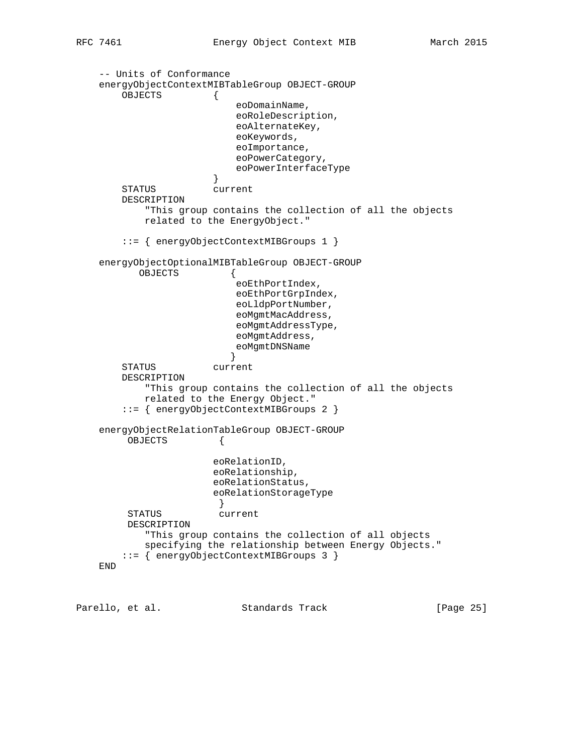-- Units of Conformance energyObjectContextMIBTableGroup OBJECT-GROUP OBJECTS { eoDomainName, eoRoleDescription, eoAlternateKey, eoKeywords, eoImportance, eoPowerCategory, eoPowerInterfaceType<br>} } STATUS current DESCRIPTION "This group contains the collection of all the objects related to the EnergyObject." ::= { energyObjectContextMIBGroups 1 } energyObjectOptionalMIBTableGroup OBJECT-GROUP OBJECTS { eoEthPortIndex, eoEthPortGrpIndex, eoLldpPortNumber, eoMgmtMacAddress, eoMgmtAddressType, eoMgmtAddress, eoMgmtDNSName } STATUS current DESCRIPTION "This group contains the collection of all the objects related to the Energy Object." ::= { energyObjectContextMIBGroups 2 } energyObjectRelationTableGroup OBJECT-GROUP OBJECTS { eoRelationID, eoRelationship, eoRelationStatus, eoRelationStorageType } STATUS current DESCRIPTION "This group contains the collection of all objects specifying the relationship between Energy Objects." ::= { energyObjectContextMIBGroups 3 } END

Parello, et al. Standards Track [Page 25]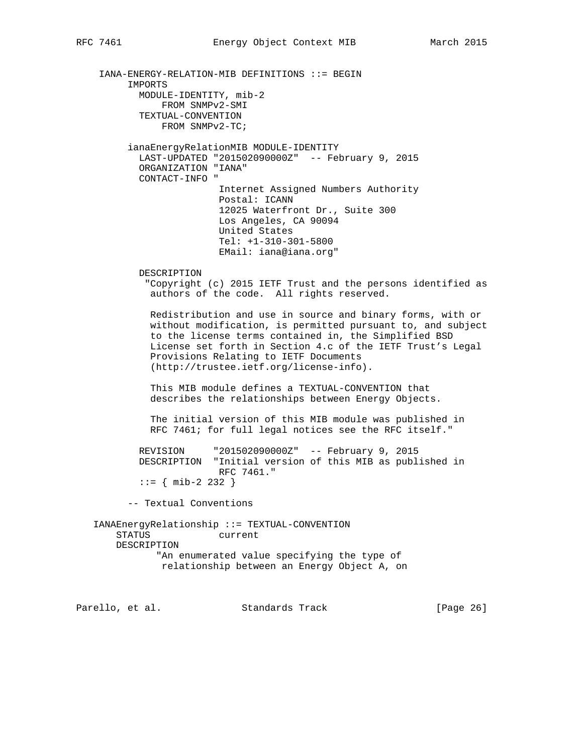IANA-ENERGY-RELATION-MIB DEFINITIONS ::= BEGIN IMPORTS MODULE-IDENTITY, mib-2 FROM SNMPv2-SMI TEXTUAL-CONVENTION FROM SNMPv2-TC; ianaEnergyRelationMIB MODULE-IDENTITY LAST-UPDATED "201502090000Z" -- February 9, 2015 ORGANIZATION "IANA" CONTACT-INFO " Internet Assigned Numbers Authority Postal: ICANN 12025 Waterfront Dr., Suite 300 Los Angeles, CA 90094 United States Tel: +1-310-301-5800 EMail: iana@iana.org" DESCRIPTION "Copyright (c) 2015 IETF Trust and the persons identified as authors of the code. All rights reserved. Redistribution and use in source and binary forms, with or without modification, is permitted pursuant to, and subject to the license terms contained in, the Simplified BSD License set forth in Section 4.c of the IETF Trust's Legal Provisions Relating to IETF Documents (http://trustee.ietf.org/license-info). This MIB module defines a TEXTUAL-CONVENTION that describes the relationships between Energy Objects. The initial version of this MIB module was published in RFC 7461; for full legal notices see the RFC itself." REVISION "201502090000Z" -- February 9, 2015 DESCRIPTION "Initial version of this MIB as published in RFC 7461." ::= { mib-2 232 } -- Textual Conventions IANAEnergyRelationship ::= TEXTUAL-CONVENTION STATUS current DESCRIPTION "An enumerated value specifying the type of relationship between an Energy Object A, on Parello, et al. Standards Track [Page 26]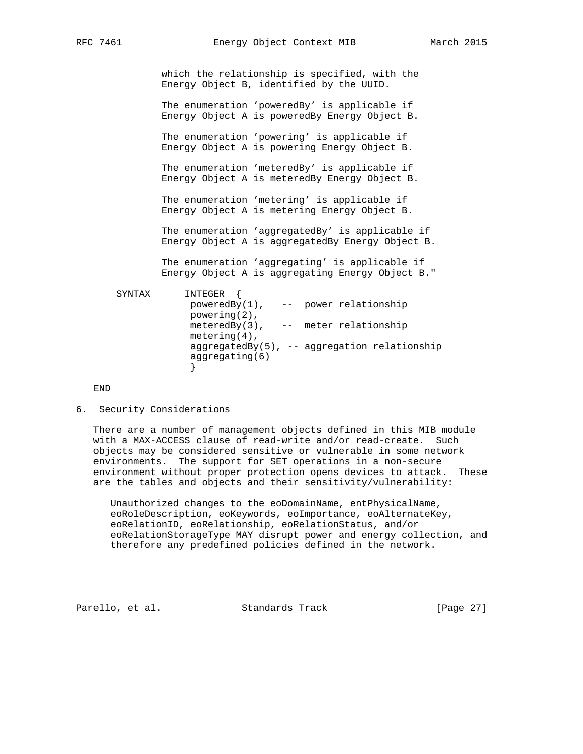which the relationship is specified, with the Energy Object B, identified by the UUID.

 The enumeration 'poweredBy' is applicable if Energy Object A is poweredBy Energy Object B.

 The enumeration 'powering' is applicable if Energy Object A is powering Energy Object B.

 The enumeration 'meteredBy' is applicable if Energy Object A is meteredBy Energy Object B.

 The enumeration 'metering' is applicable if Energy Object A is metering Energy Object B.

 The enumeration 'aggregatedBy' is applicable if Energy Object A is aggregatedBy Energy Object B.

 The enumeration 'aggregating' is applicable if Energy Object A is aggregating Energy Object B."

```
 SYNTAX INTEGER {
                  poweredBy(1), -- power relationship
                  powering(2),
                  meteredBy(3), -- meter relationship
                  metering(4),
                  aggregatedBy(5), -- aggregation relationship
                  aggregating(6)
 }
```
END

6. Security Considerations

 There are a number of management objects defined in this MIB module with a MAX-ACCESS clause of read-write and/or read-create. Such objects may be considered sensitive or vulnerable in some network environments. The support for SET operations in a non-secure environment without proper protection opens devices to attack. These are the tables and objects and their sensitivity/vulnerability:

 Unauthorized changes to the eoDomainName, entPhysicalName, eoRoleDescription, eoKeywords, eoImportance, eoAlternateKey, eoRelationID, eoRelationship, eoRelationStatus, and/or eoRelationStorageType MAY disrupt power and energy collection, and therefore any predefined policies defined in the network.

Parello, et al. Standards Track [Page 27]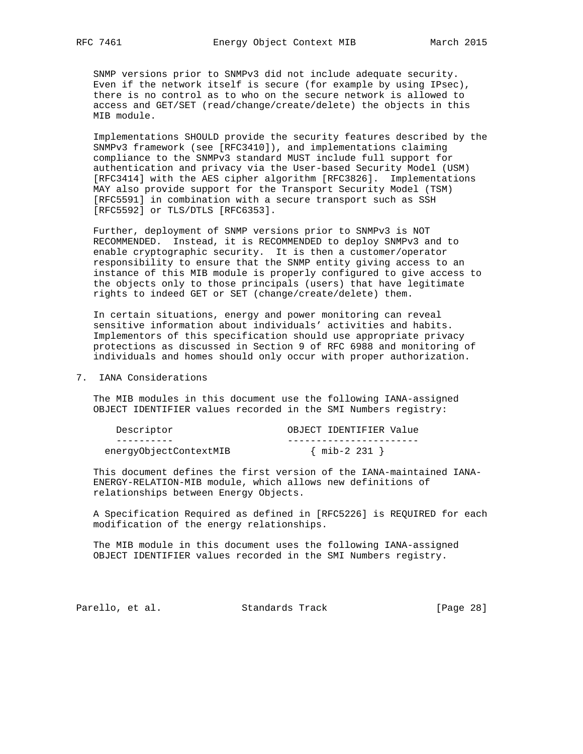SNMP versions prior to SNMPv3 did not include adequate security. Even if the network itself is secure (for example by using IPsec), there is no control as to who on the secure network is allowed to access and GET/SET (read/change/create/delete) the objects in this MIB module.

 Implementations SHOULD provide the security features described by the SNMPv3 framework (see [RFC3410]), and implementations claiming compliance to the SNMPv3 standard MUST include full support for authentication and privacy via the User-based Security Model (USM) [RFC3414] with the AES cipher algorithm [RFC3826]. Implementations MAY also provide support for the Transport Security Model (TSM) [RFC5591] in combination with a secure transport such as SSH [RFC5592] or TLS/DTLS [RFC6353].

 Further, deployment of SNMP versions prior to SNMPv3 is NOT RECOMMENDED. Instead, it is RECOMMENDED to deploy SNMPv3 and to enable cryptographic security. It is then a customer/operator responsibility to ensure that the SNMP entity giving access to an instance of this MIB module is properly configured to give access to the objects only to those principals (users) that have legitimate rights to indeed GET or SET (change/create/delete) them.

 In certain situations, energy and power monitoring can reveal sensitive information about individuals' activities and habits. Implementors of this specification should use appropriate privacy protections as discussed in Section 9 of RFC 6988 and monitoring of individuals and homes should only occur with proper authorization.

7. IANA Considerations

 The MIB modules in this document use the following IANA-assigned OBJECT IDENTIFIER values recorded in the SMI Numbers registry:

| Descriptor             | OBJECT IDENTIFIER Value |
|------------------------|-------------------------|
|                        |                         |
| energyObjectContextMIB | $\{$ mib-2 231 $\}$     |

 This document defines the first version of the IANA-maintained IANA- ENERGY-RELATION-MIB module, which allows new definitions of relationships between Energy Objects.

 A Specification Required as defined in [RFC5226] is REQUIRED for each modification of the energy relationships.

 The MIB module in this document uses the following IANA-assigned OBJECT IDENTIFIER values recorded in the SMI Numbers registry.

Parello, et al. Standards Track [Page 28]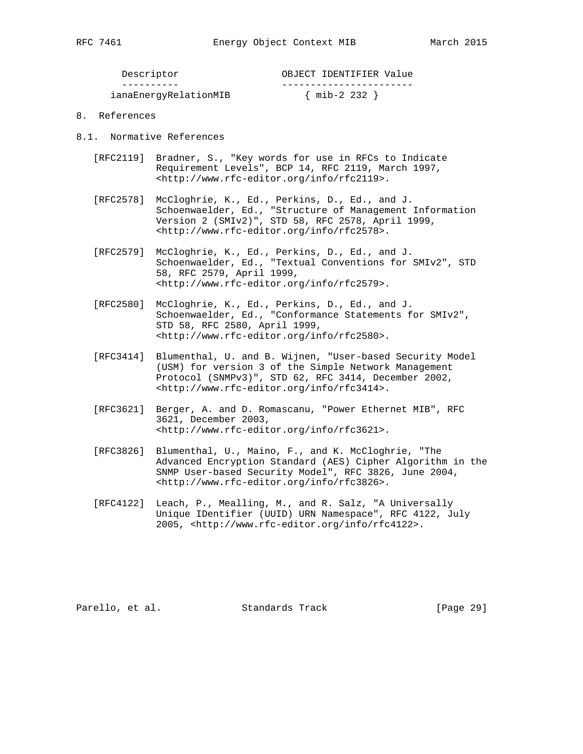| Descriptor            | OBJECT IDENTIFIER Value |
|-----------------------|-------------------------|
|                       |                         |
| ianaEnergyRelationMIB | $\{$ mib-2 232 $\}$     |

- 8. References
- 8.1. Normative References
	- [RFC2119] Bradner, S., "Key words for use in RFCs to Indicate Requirement Levels", BCP 14, RFC 2119, March 1997, <http://www.rfc-editor.org/info/rfc2119>.
	- [RFC2578] McCloghrie, K., Ed., Perkins, D., Ed., and J. Schoenwaelder, Ed., "Structure of Management Information Version 2 (SMIv2)", STD 58, RFC 2578, April 1999, <http://www.rfc-editor.org/info/rfc2578>.
	- [RFC2579] McCloghrie, K., Ed., Perkins, D., Ed., and J. Schoenwaelder, Ed., "Textual Conventions for SMIv2", STD 58, RFC 2579, April 1999, <http://www.rfc-editor.org/info/rfc2579>.
	- [RFC2580] McCloghrie, K., Ed., Perkins, D., Ed., and J. Schoenwaelder, Ed., "Conformance Statements for SMIv2", STD 58, RFC 2580, April 1999, <http://www.rfc-editor.org/info/rfc2580>.
	- [RFC3414] Blumenthal, U. and B. Wijnen, "User-based Security Model (USM) for version 3 of the Simple Network Management Protocol (SNMPv3)", STD 62, RFC 3414, December 2002, <http://www.rfc-editor.org/info/rfc3414>.
	- [RFC3621] Berger, A. and D. Romascanu, "Power Ethernet MIB", RFC 3621, December 2003, <http://www.rfc-editor.org/info/rfc3621>.
	- [RFC3826] Blumenthal, U., Maino, F., and K. McCloghrie, "The Advanced Encryption Standard (AES) Cipher Algorithm in the SNMP User-based Security Model", RFC 3826, June 2004, <http://www.rfc-editor.org/info/rfc3826>.
	- [RFC4122] Leach, P., Mealling, M., and R. Salz, "A Universally Unique IDentifier (UUID) URN Namespace", RFC 4122, July 2005, <http://www.rfc-editor.org/info/rfc4122>.

Parello, et al. Standards Track [Page 29]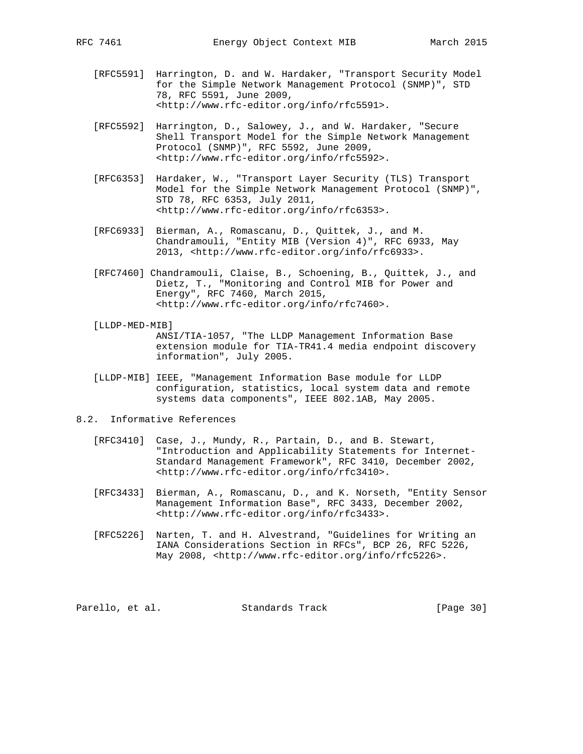- [RFC5591] Harrington, D. and W. Hardaker, "Transport Security Model for the Simple Network Management Protocol (SNMP)", STD 78, RFC 5591, June 2009, <http://www.rfc-editor.org/info/rfc5591>.
- [RFC5592] Harrington, D., Salowey, J., and W. Hardaker, "Secure Shell Transport Model for the Simple Network Management Protocol (SNMP)", RFC 5592, June 2009, <http://www.rfc-editor.org/info/rfc5592>.
- [RFC6353] Hardaker, W., "Transport Layer Security (TLS) Transport Model for the Simple Network Management Protocol (SNMP)", STD 78, RFC 6353, July 2011, <http://www.rfc-editor.org/info/rfc6353>.
- [RFC6933] Bierman, A., Romascanu, D., Quittek, J., and M. Chandramouli, "Entity MIB (Version 4)", RFC 6933, May 2013, <http://www.rfc-editor.org/info/rfc6933>.
- [RFC7460] Chandramouli, Claise, B., Schoening, B., Quittek, J., and Dietz, T., "Monitoring and Control MIB for Power and Energy", RFC 7460, March 2015, <http://www.rfc-editor.org/info/rfc7460>.
- [LLDP-MED-MIB] ANSI/TIA-1057, "The LLDP Management Information Base extension module for TIA-TR41.4 media endpoint discovery information", July 2005.
- [LLDP-MIB] IEEE, "Management Information Base module for LLDP configuration, statistics, local system data and remote systems data components", IEEE 802.1AB, May 2005.
- 8.2. Informative References
	- [RFC3410] Case, J., Mundy, R., Partain, D., and B. Stewart, "Introduction and Applicability Statements for Internet- Standard Management Framework", RFC 3410, December 2002, <http://www.rfc-editor.org/info/rfc3410>.
	- [RFC3433] Bierman, A., Romascanu, D., and K. Norseth, "Entity Sensor Management Information Base", RFC 3433, December 2002, <http://www.rfc-editor.org/info/rfc3433>.
	- [RFC5226] Narten, T. and H. Alvestrand, "Guidelines for Writing an IANA Considerations Section in RFCs", BCP 26, RFC 5226, May 2008, <http://www.rfc-editor.org/info/rfc5226>.

Parello, et al. Standards Track [Page 30]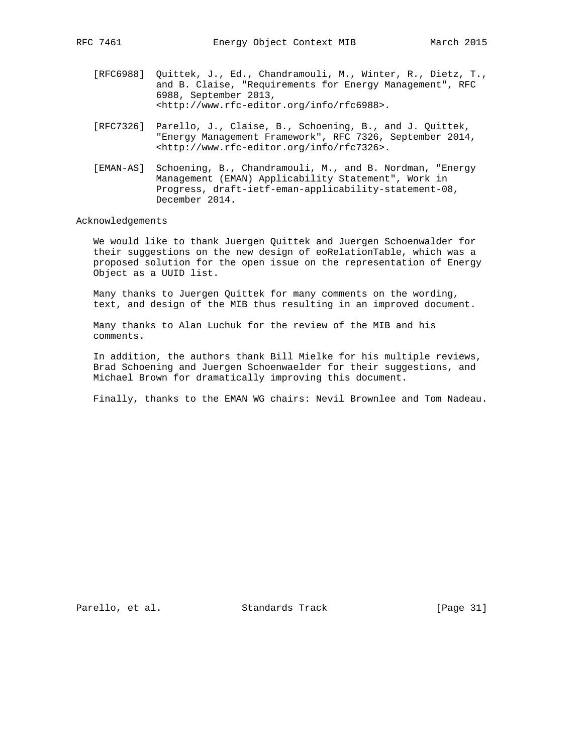- [RFC6988] Quittek, J., Ed., Chandramouli, M., Winter, R., Dietz, T., and B. Claise, "Requirements for Energy Management", RFC 6988, September 2013, <http://www.rfc-editor.org/info/rfc6988>.
- [RFC7326] Parello, J., Claise, B., Schoening, B., and J. Quittek, "Energy Management Framework", RFC 7326, September 2014, <http://www.rfc-editor.org/info/rfc7326>.
- [EMAN-AS] Schoening, B., Chandramouli, M., and B. Nordman, "Energy Management (EMAN) Applicability Statement", Work in Progress, draft-ietf-eman-applicability-statement-08, December 2014.

### Acknowledgements

 We would like to thank Juergen Quittek and Juergen Schoenwalder for their suggestions on the new design of eoRelationTable, which was a proposed solution for the open issue on the representation of Energy Object as a UUID list.

 Many thanks to Juergen Quittek for many comments on the wording, text, and design of the MIB thus resulting in an improved document.

 Many thanks to Alan Luchuk for the review of the MIB and his comments.

 In addition, the authors thank Bill Mielke for his multiple reviews, Brad Schoening and Juergen Schoenwaelder for their suggestions, and Michael Brown for dramatically improving this document.

Finally, thanks to the EMAN WG chairs: Nevil Brownlee and Tom Nadeau.

Parello, et al. Standards Track [Page 31]